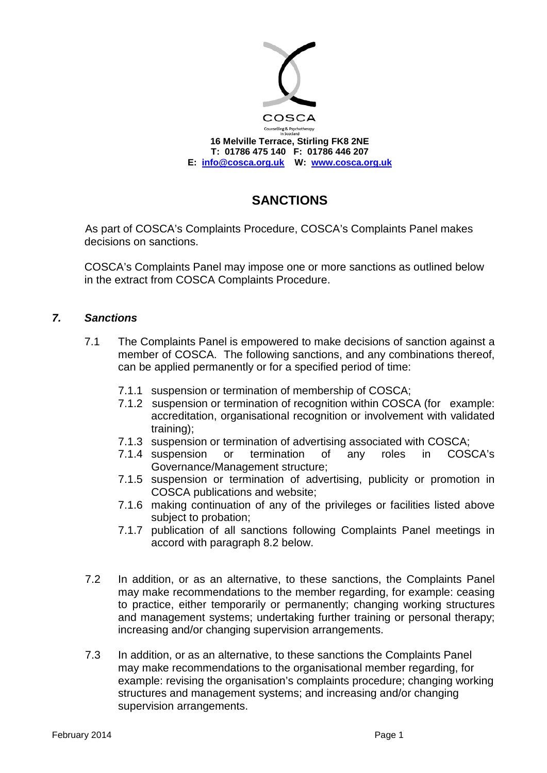

## **SANCTIONS**

As part of COSCA's Complaints Procedure, COSCA's Complaints Panel makes decisions on sanctions.

COSCA's Complaints Panel may impose one or more sanctions as outlined below in the extract from COSCA Complaints Procedure.

## *7. Sanctions*

- 7.1 The Complaints Panel is empowered to make decisions of sanction against a member of COSCA. The following sanctions, and any combinations thereof, can be applied permanently or for a specified period of time:
	- 7.1.1 suspension or termination of membership of COSCA;
	- 7.1.2 suspension or termination of recognition within COSCA (for example: accreditation, organisational recognition or involvement with validated training);
	- 7.1.3 suspension or termination of advertising associated with COSCA;
	- 7.1.4 suspension or termination of any roles in COSCA's Governance/Management structure;
	- 7.1.5 suspension or termination of advertising, publicity or promotion in COSCA publications and website;
	- 7.1.6 making continuation of any of the privileges or facilities listed above subject to probation;
	- 7.1.7 publication of all sanctions following Complaints Panel meetings in accord with paragraph 8.2 below.
- 7.2 In addition, or as an alternative, to these sanctions, the Complaints Panel may make recommendations to the member regarding, for example: ceasing to practice, either temporarily or permanently; changing working structures and management systems; undertaking further training or personal therapy; increasing and/or changing supervision arrangements.
- 7.3 In addition, or as an alternative, to these sanctions the Complaints Panel may make recommendations to the organisational member regarding, for example: revising the organisation's complaints procedure; changing working structures and management systems; and increasing and/or changing supervision arrangements.